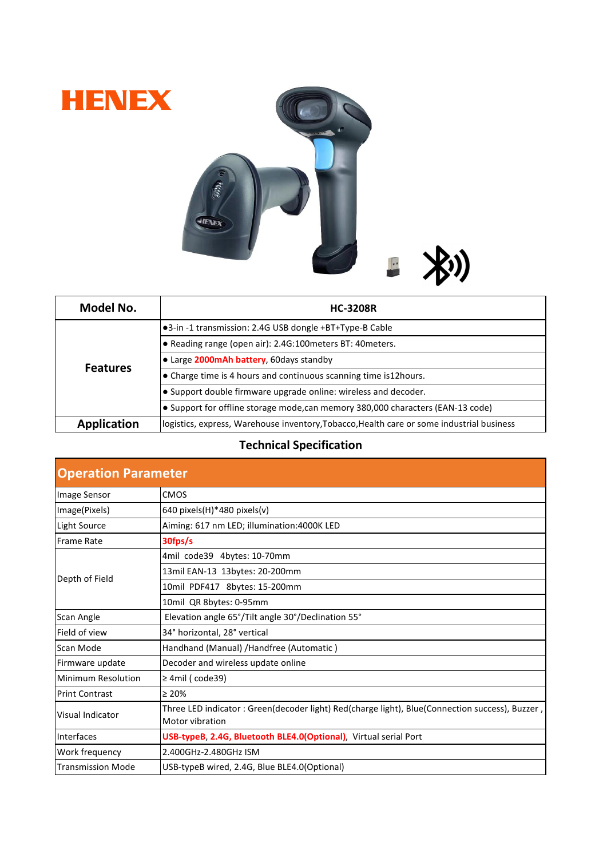



| Model No.          | <b>HC-3208R</b>                                                                           |
|--------------------|-------------------------------------------------------------------------------------------|
| <b>Features</b>    | •3-in -1 transmission: 2.4G USB dongle +BT+Type-B Cable                                   |
|                    | • Reading range (open air): 2.4G:100 meters BT: 40 meters.                                |
|                    | • Large 2000mAh battery, 60days standby                                                   |
|                    | • Charge time is 4 hours and continuous scanning time is12hours.                          |
|                    | • Support double firmware upgrade online: wireless and decoder.                           |
|                    | • Support for offline storage mode, can memory 380,000 characters (EAN-13 code)           |
| <b>Application</b> | logistics, express, Warehouse inventory, Tobacco, Health care or some industrial business |

## **Technical Specification**

| <b>Operation Parameter</b> |                                                                                                                    |  |
|----------------------------|--------------------------------------------------------------------------------------------------------------------|--|
| Image Sensor               | <b>CMOS</b>                                                                                                        |  |
| Image(Pixels)              | 640 pixels $(H)^*$ 480 pixels $(v)$                                                                                |  |
| Light Source               | Aiming: 617 nm LED; illumination: 4000K LED                                                                        |  |
| <b>Frame Rate</b>          | 30fps/s                                                                                                            |  |
| Depth of Field             | 4mil code39 4bytes: 10-70mm                                                                                        |  |
|                            | 13mil EAN-13 13bytes: 20-200mm                                                                                     |  |
|                            | 10mil PDF417 8bytes: 15-200mm                                                                                      |  |
|                            | 10mil QR 8bytes: 0-95mm                                                                                            |  |
| Scan Angle                 | Elevation angle 65°/Tilt angle 30°/Declination 55°                                                                 |  |
| Field of view              | 34° horizontal, 28° vertical                                                                                       |  |
| Scan Mode                  | Handhand (Manual) / Handfree (Automatic)                                                                           |  |
| Firmware update            | Decoder and wireless update online                                                                                 |  |
| Minimum Resolution         | $\geq$ 4mil (code39)                                                                                               |  |
| <b>Print Contrast</b>      | $\geq 20\%$                                                                                                        |  |
| Visual Indicator           | Three LED indicator : Green(decoder light) Red(charge light), Blue(Connection success), Buzzer,<br>Motor vibration |  |
| <b>Interfaces</b>          | USB-typeB, 2.4G, Bluetooth BLE4.0(Optional), Virtual serial Port                                                   |  |
| Work frequency             | 2.400GHz-2.480GHz ISM                                                                                              |  |
| <b>Transmission Mode</b>   | USB-typeB wired, 2.4G, Blue BLE4.0(Optional)                                                                       |  |